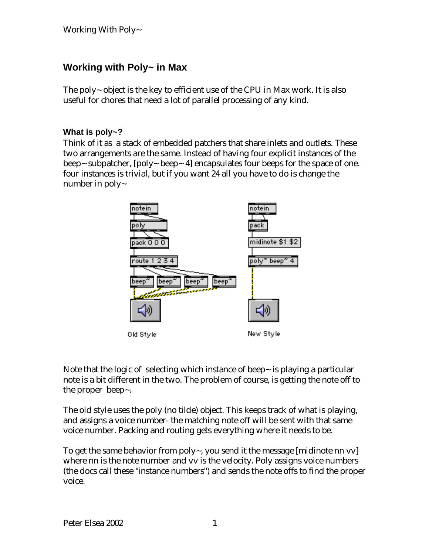# **Working with Poly~ in Max**

The poly~ object is the key to efficient use of the CPU in Max work. It is also useful for chores that need a lot of parallel processing of any kind.

#### **What is poly~?**

Think of it as a stack of embedded patchers that share inlets and outlets. These two arrangements are the same. Instead of having four explicit instances of the beep~ subpatcher,  $[poly~begin{bmatrix} 1 & 0 \\ 0 & -1 \end{bmatrix}$  encapsulates four beeps for the space of one. four instances is trivial, but if you want 24 all you have to do is change the number in poly~



Note that the logic of selecting which instance of beep~ is playing a particular note is a bit different in the two. The problem of course, is getting the note off to the proper beep~.

The old style uses the poly (no tilde) object. This keeps track of what is playing, and assigns a voice number- the matching note off will be sent with that same voice number. Packing and routing gets everything where it needs to be.

To get the same behavior from poly~, you send it the message [midinote nn vv] where nn is the note number and vv is the velocity. Poly assigns voice numbers (the docs call these "instance numbers") and sends the note offs to find the proper voice.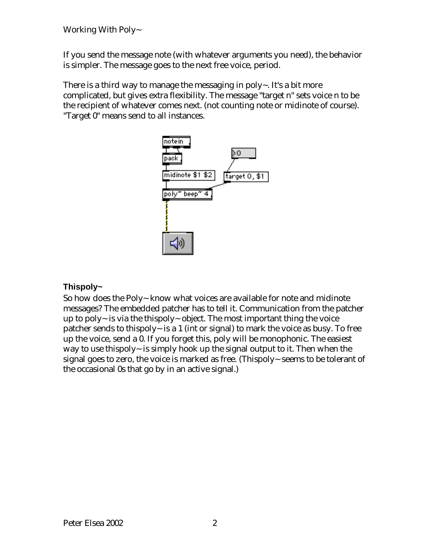If you send the message note (with whatever arguments you need), the behavior is simpler. The message goes to the next free voice, period.

There is a third way to manage the messaging in poly $\sim$ . It's a bit more complicated, but gives extra flexibility. The message "target n" sets voice n to be the recipient of whatever comes next. (not counting note or midinote of course). "Target 0" means send to all instances.



## **Thispoly~**

So how does the Poly~ know what voices are available for note and midinote messages? The embedded patcher has to tell it. Communication from the patcher up to poly $\sim$  is via the thispoly $\sim$  object. The most important thing the voice patcher sends to thispoly~ is a 1 (int or signal) to mark the voice as busy. To free up the voice, send a 0. If you forget this, poly will be monophonic. The easiest way to use thispoly~ is simply hook up the signal output to it. Then when the signal goes to zero, the voice is marked as free. (Thispoly~ seems to be tolerant of the occasional 0s that go by in an active signal.)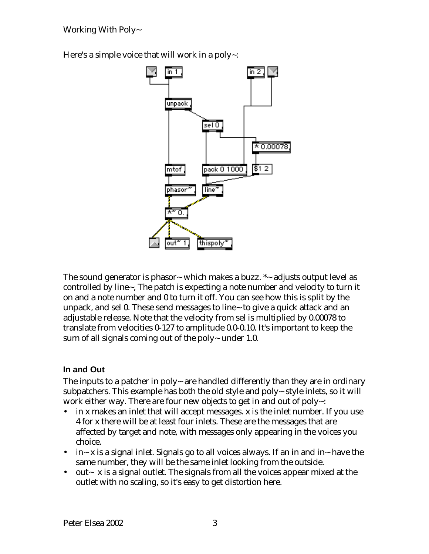Working With Poly~

Here's a simple voice that will work in a poly~:



The sound generator is phasor~ which makes a buzz.  $*$ ~ adjusts output level as controlled by line~, The patch is expecting a note number and velocity to turn it on and a note number and 0 to turn it off. You can see how this is split by the unpack, and sel 0. These send messages to line~ to give a quick attack and an adjustable release. Note that the velocity from sel is multiplied by 0.00078 to translate from velocities 0-127 to amplitude 0.0-0.10. It's important to keep the sum of all signals coming out of the poly~ under 1.0.

#### **In and Out**

The inputs to a patcher in poly~ are handled differently than they are in ordinary subpatchers. This example has both the old style and poly~ style inlets, so it will work either way. There are four new objects to get in and out of poly~:

- in x makes an inlet that will accept messages. x is the inlet number. If you use 4 for x there will be at least four inlets. These are the messages that are affected by target and note, with messages only appearing in the voices you choice.
- in~ x is a signal inlet. Signals go to all voices always. If an in and in~ have the same number, they will be the same inlet looking from the outside.
- out  $\sim$  x is a signal outlet. The signals from all the voices appear mixed at the outlet with no scaling, so it's easy to get distortion here.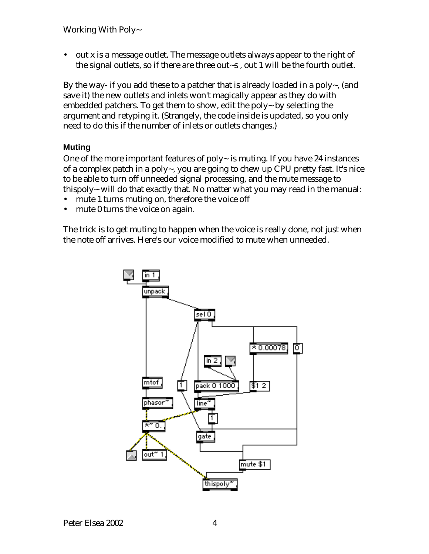Working With Poly~

• out x is a message outlet. The message outlets always appear to the right of the signal outlets, so if there are three out~s , out 1 will be the fourth outlet.

By the way- if you add these to a patcher that is already loaded in a poly $\sim$ , (and save it) the new outlets and inlets won't magically appear as they do with embedded patchers. To get them to show, edit the poly~ by selecting the argument and retyping it. (Strangely, the code inside is updated, so you only need to do this if the number of inlets or outlets changes.)

#### **Muting**

One of the more important features of poly $\sim$  is muting. If you have 24 instances of a complex patch in a poly~, you are going to chew up CPU pretty fast. It's nice to be able to turn off unneeded signal processing, and the mute message to thispoly~ will do that exactly that. No matter what you may read in the manual:

- mute 1 turns muting on, therefore the voice off
- mute 0 turns the voice on again.

The trick is to get muting to happen when the voice is really done, not just when the note off arrives. Here's our voice modified to mute when unneeded.

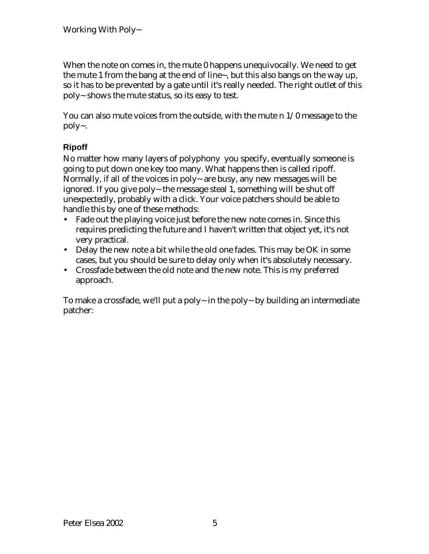When the note on comes in, the mute 0 happens unequivocally. We need to get the mute 1 from the bang at the end of line~, but this also bangs on the way up, so it has to be prevented by a gate until it's really needed. The right outlet of this poly~ shows the mute status, so its easy to test.

You can also mute voices from the outside, with the mute n 1/0 message to the poly~.

## **Ripoff**

No matter how many layers of polyphony you specify, eventually someone is going to put down one key too many. What happens then is called ripoff. Normally, if all of the voices in poly $\sim$  are busy, any new messages will be ignored. If you give poly~ the message steal 1, something will be shut off unexpectedly, probably with a click. Your voice patchers should be able to handle this by one of these methods:

- Fade out the playing voice just before the new note comes in. Since this requires predicting the future and I haven't written that object yet, it's not very practical.
- Delay the new note a bit while the old one fades. This may be OK in some cases, but you should be sure to delay only when it's absolutely necessary.
- Crossfade between the old note and the new note. This is my preferred approach.

To make a crossfade, we'll put a poly~ in the poly~ by building an intermediate patcher: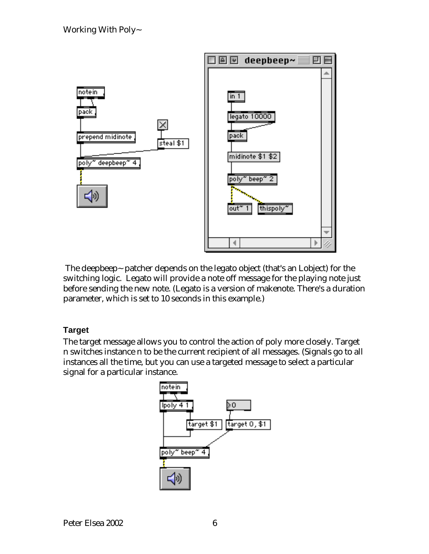

 The deepbeep~ patcher depends on the legato object (that's an Lobject) for the switching logic. Legato will provide a note off message for the playing note just before sending the new note. (Legato is a version of makenote. There's a duration parameter, which is set to 10 seconds in this example.)

#### **Target**

The target message allows you to control the action of poly more closely. Target n switches instance n to be the current recipient of all messages. (Signals go to all instances all the time, but you can use a targeted message to select a particular signal for a particular instance.

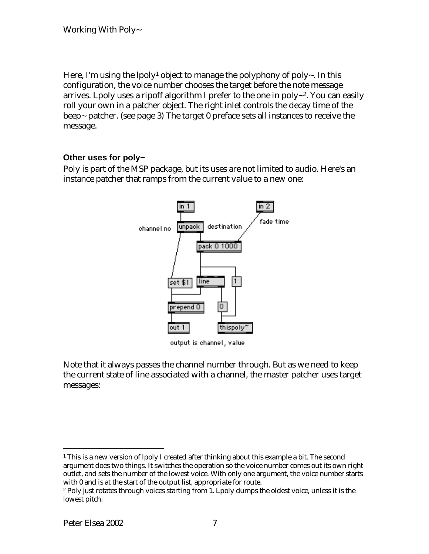Here, I'm using the lpoly<sup>1</sup> object to manage the polyphony of poly~. In this configuration, the voice number chooses the target before the note message arrives. Lpoly uses a ripoff algorithm I prefer to the one in poly~2. You can easily roll your own in a patcher object. The right inlet controls the decay time of the beep~ patcher. (see page 3) The target 0 preface sets all instances to receive the message.

#### **Other uses for poly~**

Poly is part of the MSP package, but its uses are not limited to audio. Here's an instance patcher that ramps from the current value to a new one:



output is channel, value

Note that it always passes the channel number through. But as we need to keep the current state of line associated with a channel, the master patcher uses target messages:

 $\overline{a}$  $^{\rm 1}$  This is a new version of lpoly I created after thinking about this example a bit. The second argument does two things. It switches the operation so the voice number comes out its own right outlet, and sets the number of the lowest voice. With only one argument, the voice number starts with 0 and is at the start of the output list, appropriate for route.

<sup>2</sup> Poly just rotates through voices starting from 1. Lpoly dumps the oldest voice, unless it is the lowest pitch.